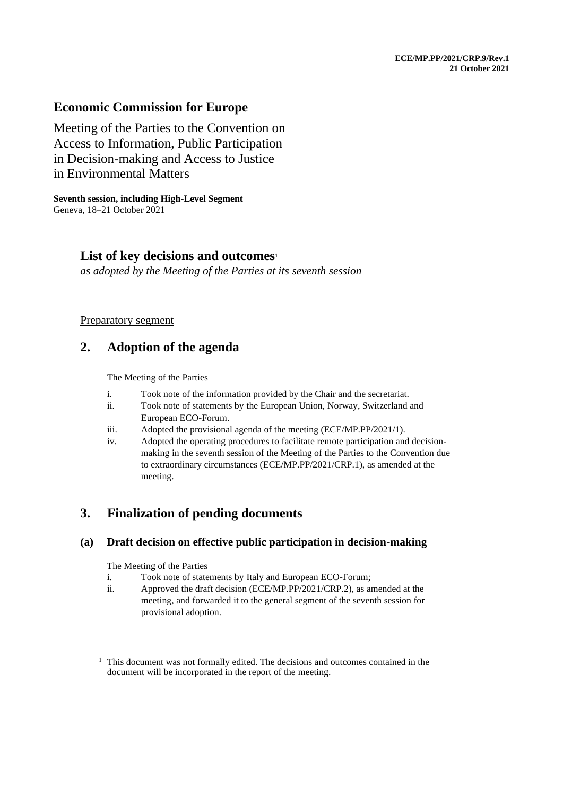### **Economic Commission for Europe**

Meeting of the Parties to the Convention on Access to Information, Public Participation in Decision-making and Access to Justice in Environmental Matters

**Seventh session, including High-Level Segment** Geneva, 18–21 October 2021

### **List of key decisions and outcomes<sup>1</sup>**

*as adopted by the Meeting of the Parties at its seventh session*

#### Preparatory segment

# **2. Adoption of the agenda**

The Meeting of the Parties

- i. Took note of the information provided by the Chair and the secretariat.
- ii. Took note of statements by the European Union, Norway, Switzerland and European ECO-Forum.
- iii. Adopted the provisional agenda of the meeting (ECE/MP.PP/2021/1).
- iv. Adopted the operating procedures to facilitate remote participation and decisionmaking in the seventh session of the Meeting of the Parties to the Convention due to extraordinary circumstances (ECE/MP.PP/2021/CRP.1), as amended at the meeting.

# **3. Finalization of pending documents**

#### **(a) Draft decision on effective public participation in decision-making**

- i. Took note of statements by Italy and European ECO-Forum;
- ii. Approved the draft decision (ECE/MP.PP/2021/CRP.2), as amended at the meeting, and forwarded it to the general segment of the seventh session for provisional adoption.

<sup>&</sup>lt;sup>1</sup> This document was not formally edited. The decisions and outcomes contained in the document will be incorporated in the report of the meeting.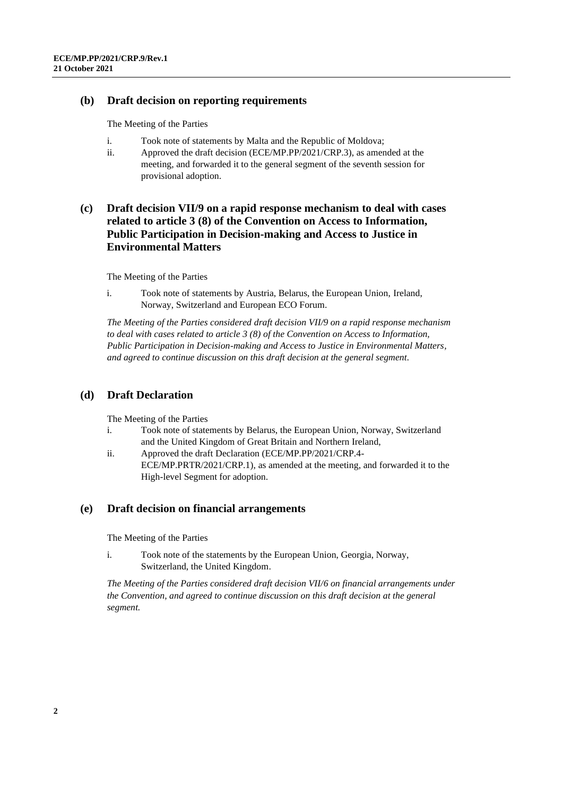#### **(b) Draft decision on reporting requirements**

The Meeting of the Parties

- i. Took note of statements by Malta and the Republic of Moldova;
- ii. Approved the draft decision (ECE/MP.PP/2021/CRP.3), as amended at the meeting, and forwarded it to the general segment of the seventh session for provisional adoption.

### **(c) Draft decision VII/9 on a rapid response mechanism to deal with cases related to article 3 (8) of the Convention on Access to Information, Public Participation in Decision-making and Access to Justice in Environmental Matters**

The Meeting of the Parties

i. Took note of statements by Austria, Belarus, the European Union, Ireland, Norway, Switzerland and European ECO Forum.

*The Meeting of the Parties considered draft decision VII/9 on a rapid response mechanism to deal with cases related to article 3 (8) of the Convention on Access to Information, Public Participation in Decision-making and Access to Justice in Environmental Matters, and agreed to continue discussion on this draft decision at the general segment.*

### **(d) Draft Declaration**

The Meeting of the Parties

- i. Took note of statements by Belarus, the European Union, Norway, Switzerland and the United Kingdom of Great Britain and Northern Ireland,
- ii. Approved the draft Declaration (ECE/MP.PP/2021/CRP.4- ECE/MP.PRTR/2021/CRP.1), as amended at the meeting, and forwarded it to the High-level Segment for adoption.

#### **(e) Draft decision on financial arrangements**

The Meeting of the Parties

i. Took note of the statements by the European Union, Georgia, Norway, Switzerland, the United Kingdom.

*The Meeting of the Parties considered draft decision VII/6 on financial arrangements under the Convention, and agreed to continue discussion on this draft decision at the general segment.*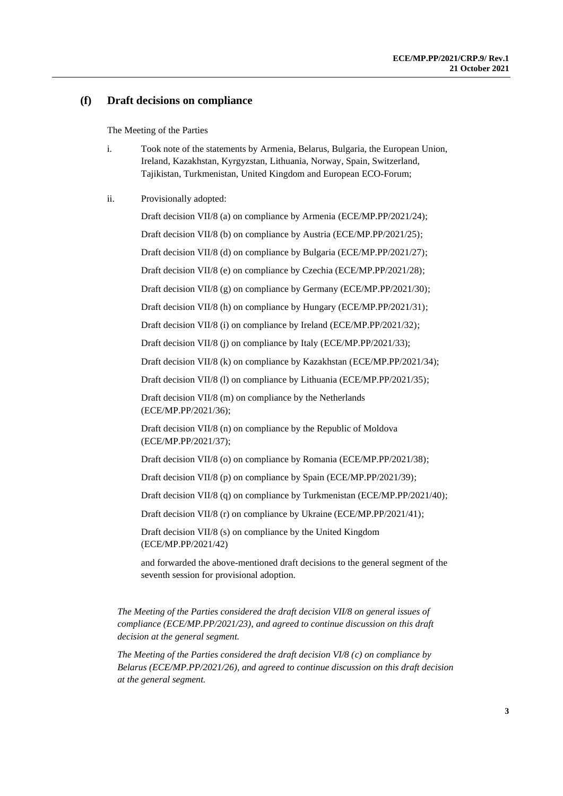#### **(f) Draft decisions on compliance**

The Meeting of the Parties

i. Took note of the statements by Armenia, Belarus, Bulgaria, the European Union, Ireland, Kazakhstan, Kyrgyzstan, Lithuania, Norway, Spain, Switzerland, Tajikistan, Turkmenistan, United Kingdom and European ECO-Forum;

#### ii. Provisionally adopted:

Draft decision VII/8 (a) on compliance by Armenia (ECE/MP.PP/2021/24); Draft decision VII/8 (b) on compliance by Austria (ECE/MP.PP/2021/25); Draft decision VII/8 (d) on compliance by Bulgaria (ECE/MP.PP/2021/27); Draft decision VII/8 (e) on compliance by Czechia (ECE/MP.PP/2021/28); Draft decision VII/8 (g) on compliance by Germany (ECE/MP.PP/2021/30); Draft decision VII/8 (h) on compliance by Hungary (ECE/MP.PP/2021/31); Draft decision VII/8 (i) on compliance by Ireland (ECE/MP.PP/2021/32); Draft decision VII/8 (j) on compliance by Italy (ECE/MP.PP/2021/33); Draft decision VII/8 (k) on compliance by Kazakhstan (ECE/MP.PP/2021/34); Draft decision VII/8 (l) on compliance by Lithuania (ECE/MP.PP/2021/35); Draft decision VII/8 (m) on compliance by the Netherlands (ECE/MP.PP/2021/36); Draft decision VII/8 (n) on compliance by the Republic of Moldova (ECE/MP.PP/2021/37); Draft decision VII/8 (o) on compliance by Romania (ECE/MP.PP/2021/38); Draft decision VII/8 (p) on compliance by Spain (ECE/MP.PP/2021/39); Draft decision VII/8 (q) on compliance by Turkmenistan (ECE/MP.PP/2021/40); Draft decision VII/8 (r) on compliance by Ukraine (ECE/MP.PP/2021/41); Draft decision VII/8 (s) on compliance by the United Kingdom (ECE/MP.PP/2021/42)

and forwarded the above-mentioned draft decisions to the general segment of the seventh session for provisional adoption.

*The Meeting of the Parties considered the draft decision VII/8 on general issues of compliance (ECE/MP.PP/2021/23), and agreed to continue discussion on this draft decision at the general segment.*

*The Meeting of the Parties considered the draft decision VI/8 (c) on compliance by Belarus (ECE/MP.PP/2021/26), and agreed to continue discussion on this draft decision at the general segment.*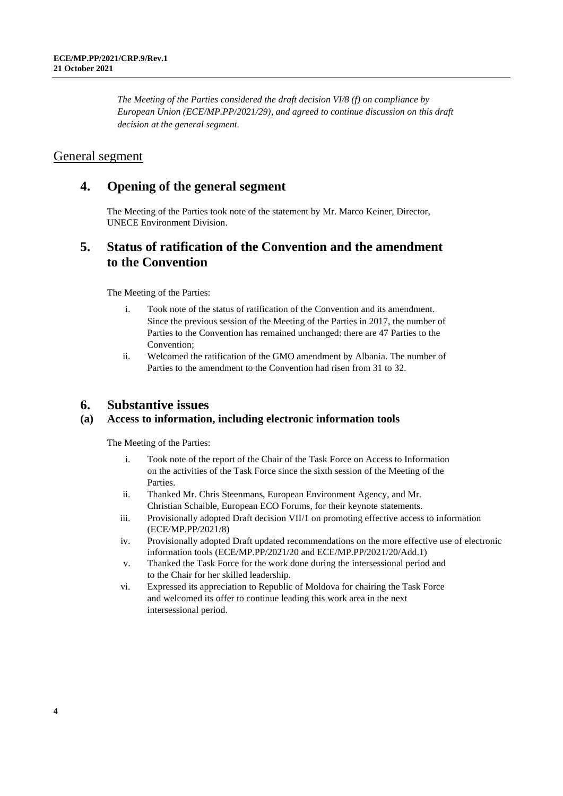*The Meeting of the Parties considered the draft decision VI/8 (f) on compliance by European Union (ECE/MP.PP/2021/29), and agreed to continue discussion on this draft decision at the general segment.*

### General segment

### **4. Opening of the general segment**

The Meeting of the Parties took note of the statement by Mr. Marco Keiner, Director, UNECE Environment Division.

### **5. Status of ratification of the Convention and the amendment to the Convention**

The Meeting of the Parties:

- i. Took note of the status of ratification of the Convention and its amendment. Since the previous session of the Meeting of the Parties in 2017, the number of Parties to the Convention has remained unchanged: there are 47 Parties to the Convention;
- ii. Welcomed the ratification of the GMO amendment by Albania. The number of Parties to the amendment to the Convention had risen from 31 to 32.

### **6. Substantive issues**

#### **(a) Access to information, including electronic information tools**

- i. Took note of the report of the Chair of the Task Force on Access to Information on the activities of the Task Force since the sixth session of the Meeting of the Parties.
- ii. Thanked Mr. Chris Steenmans, European Environment Agency, and Mr. Christian Schaible, European ECO Forums, for their keynote statements.
- iii. Provisionally adopted Draft decision VII/1 on promoting effective access to information (ECE/MP.PP/2021/8)
- iv. Provisionally adopted Draft updated recommendations on the more effective use of electronic information tools (ECE/MP.PP/2021/20 and ECE/MP.PP/2021/20/Add.1)
- v. Thanked the Task Force for the work done during the intersessional period and to the Chair for her skilled leadership.
- vi. Expressed its appreciation to Republic of Moldova for chairing the Task Force and welcomed its offer to continue leading this work area in the next intersessional period.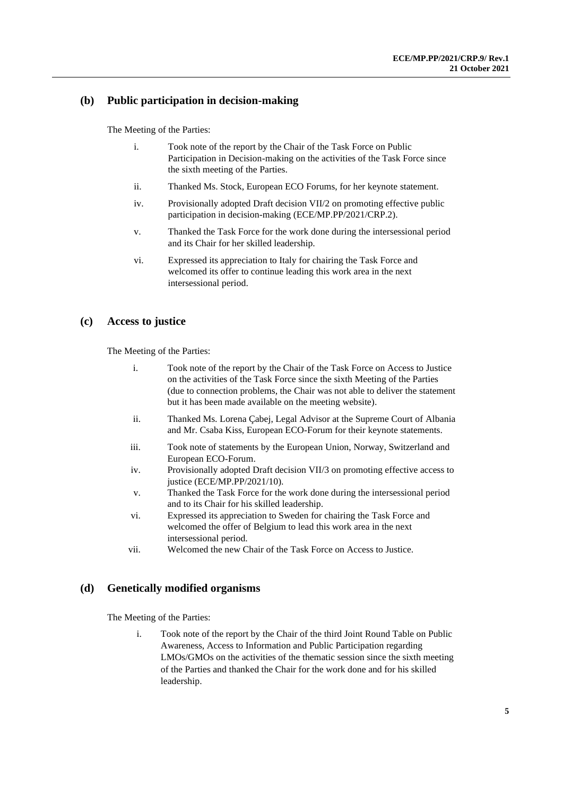### **(b) Public participation in decision-making**

The Meeting of the Parties:

- i. Took note of the report by the Chair of the Task Force on Public Participation in Decision-making on the activities of the Task Force since the sixth meeting of the Parties.
- ii. Thanked Ms. Stock, European ECO Forums, for her keynote statement.
- iv. Provisionally adopted Draft decision VII/2 on promoting effective public participation in decision-making (ECE/MP.PP/2021/CRP.2).
- v. Thanked the Task Force for the work done during the intersessional period and its Chair for her skilled leadership.
- vi. Expressed its appreciation to Italy for chairing the Task Force and welcomed its offer to continue leading this work area in the next intersessional period.

#### **(c) Access to justice**

The Meeting of the Parties:

- i. Took note of the report by the Chair of the Task Force on Access to Justice on the activities of the Task Force since the sixth Meeting of the Parties (due to connection problems, the Chair was not able to deliver the statement but it has been made available on the meeting website).
- ii. Thanked Ms. Lorena Çabej, Legal Advisor at the Supreme Court of Albania and Mr. Csaba Kiss, European ECO-Forum for their keynote statements.
- iii. Took note of statements by the European Union, Norway, Switzerland and European ECO-Forum.
- iv. Provisionally adopted Draft decision VII/3 on promoting effective access to justice (ECE/MP.PP/2021/10).
- v. Thanked the Task Force for the work done during the intersessional period and to its Chair for his skilled leadership.
- vi. Expressed its appreciation to Sweden for chairing the Task Force and welcomed the offer of Belgium to lead this work area in the next intersessional period.
- vii. Welcomed the new Chair of the Task Force on Access to Justice.

#### **(d) Genetically modified organisms**

The Meeting of the Parties:

i. Took note of the report by the Chair of the third Joint Round Table on Public Awareness, Access to Information and Public Participation regarding LMOs/GMOs on the activities of the thematic session since the sixth meeting of the Parties and thanked the Chair for the work done and for his skilled leadership.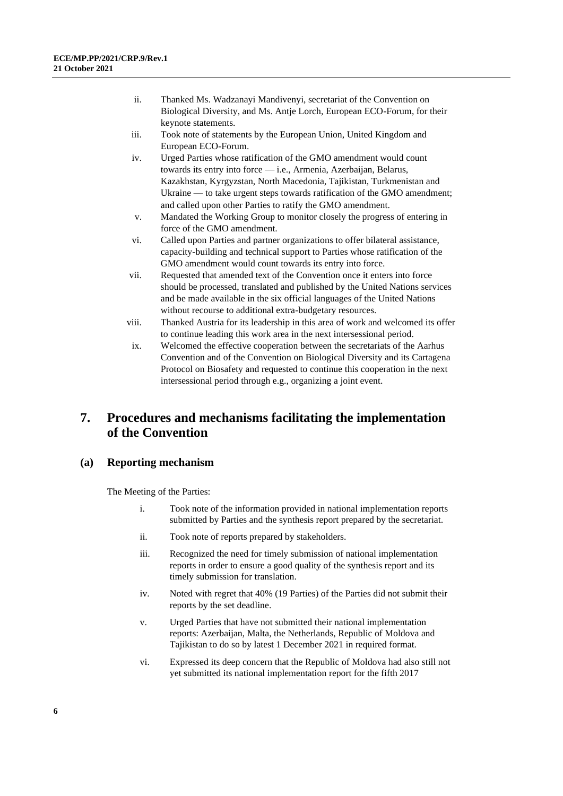- ii. Thanked Ms. Wadzanayi Mandivenyi, secretariat of the Convention on Biological Diversity, and Ms. Antje Lorch, European ECO-Forum, for their keynote statements.
- iii. Took note of statements by the European Union, United Kingdom and European ECO-Forum.
- iv. Urged Parties whose ratification of the GMO amendment would count towards its entry into force — i.e., Armenia, Azerbaijan, Belarus, Kazakhstan, Kyrgyzstan, North Macedonia, Tajikistan, Turkmenistan and Ukraine — to take urgent steps towards ratification of the GMO amendment; and called upon other Parties to ratify the GMO amendment.
- v. Mandated the Working Group to monitor closely the progress of entering in force of the GMO amendment.
- vi. Called upon Parties and partner organizations to offer bilateral assistance, capacity-building and technical support to Parties whose ratification of the GMO amendment would count towards its entry into force.
- vii. Requested that amended text of the Convention once it enters into force should be processed, translated and published by the United Nations services and be made available in the six official languages of the United Nations without recourse to additional extra-budgetary resources.
- viii. Thanked Austria for its leadership in this area of work and welcomed its offer to continue leading this work area in the next intersessional period.
- ix. Welcomed the effective cooperation between the secretariats of the Aarhus Convention and of the Convention on Biological Diversity and its Cartagena Protocol on Biosafety and requested to continue this cooperation in the next intersessional period through e.g., organizing a joint event.

# **7. Procedures and mechanisms facilitating the implementation of the Convention**

#### **(a) Reporting mechanism**

- i. Took note of the information provided in national implementation reports submitted by Parties and the synthesis report prepared by the secretariat.
- ii. Took note of reports prepared by stakeholders.
- iii. Recognized the need for timely submission of national implementation reports in order to ensure a good quality of the synthesis report and its timely submission for translation.
- iv. Noted with regret that 40% (19 Parties) of the Parties did not submit their reports by the set deadline.
- v. Urged Parties that have not submitted their national implementation reports: Azerbaijan, Malta, the Netherlands, Republic of Moldova and Tajikistan to do so by latest 1 December 2021 in required format.
- vi. Expressed its deep concern that the Republic of Moldova had also still not yet submitted its national implementation report for the fifth 2017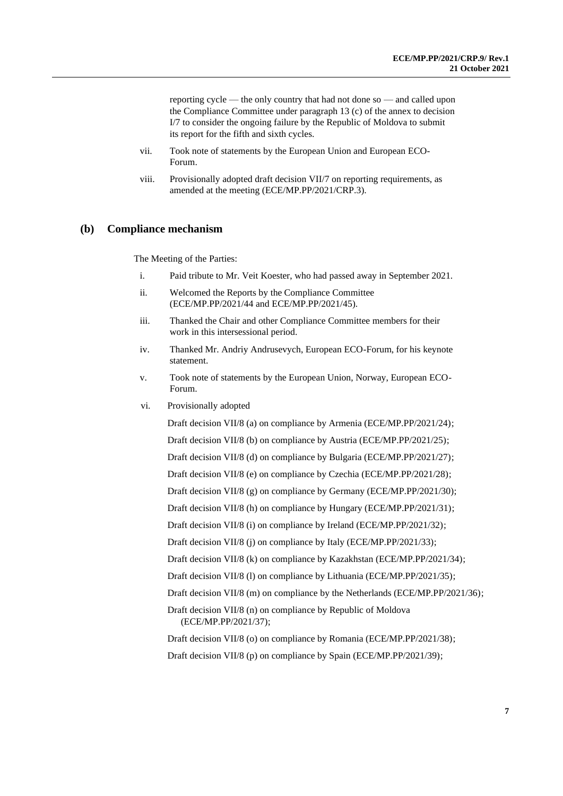reporting cycle — the only country that had not done so — and called upon the Compliance Committee under paragraph 13 (c) of the annex to decision I/7 to consider the ongoing failure by the Republic of Moldova to submit its report for the fifth and sixth cycles.

- vii. Took note of statements by the European Union and European ECO-Forum.
- viii. Provisionally adopted draft decision VII/7 on reporting requirements, as amended at the meeting (ECE/MP.PP/2021/CRP.3).

#### **(b) Compliance mechanism**

The Meeting of the Parties:

- i. Paid tribute to Mr. Veit Koester, who had passed away in September 2021.
- ii. Welcomed the Reports by the Compliance Committee (ECE/MP.PP/2021/44 and ECE/MP.PP/2021/45).
- iii. Thanked the Chair and other Compliance Committee members for their work in this intersessional period.
- iv. Thanked Mr. Andriy Andrusevych, European ECO-Forum, for his keynote statement.
- v. Took note of statements by the European Union, Norway, European ECO-Forum.
- vi. Provisionally adopted

Draft decision VII/8 (a) on compliance by Armenia (ECE/MP.PP/2021/24); Draft decision VII/8 (b) on compliance by Austria (ECE/MP.PP/2021/25); Draft decision VII/8 (d) on compliance by Bulgaria (ECE/MP.PP/2021/27); Draft decision VII/8 (e) on compliance by Czechia (ECE/MP.PP/2021/28); Draft decision VII/8 (g) on compliance by Germany (ECE/MP.PP/2021/30); Draft decision VII/8 (h) on compliance by Hungary (ECE/MP.PP/2021/31); Draft decision VII/8 (i) on compliance by Ireland (ECE/MP.PP/2021/32); Draft decision VII/8 (j) on compliance by Italy (ECE/MP.PP/2021/33); Draft decision VII/8 (k) on compliance by Kazakhstan (ECE/MP.PP/2021/34); Draft decision VII/8 (l) on compliance by Lithuania (ECE/MP.PP/2021/35); Draft decision VII/8 (m) on compliance by the Netherlands (ECE/MP.PP/2021/36); Draft decision VII/8 (n) on compliance by Republic of Moldova (ECE/MP.PP/2021/37); Draft decision VII/8 (o) on compliance by Romania (ECE/MP.PP/2021/38);

Draft decision VII/8 (p) on compliance by Spain (ECE/MP.PP/2021/39);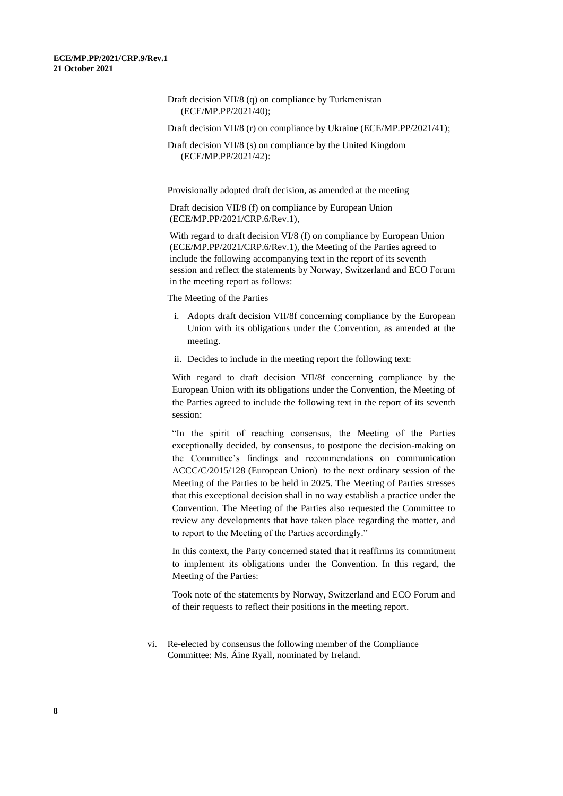- Draft decision VII/8 (q) on compliance by Turkmenistan (ECE/MP.PP/2021/40);
- Draft decision VII/8 (r) on compliance by Ukraine (ECE/MP.PP/2021/41);
- Draft decision VII/8 (s) on compliance by the United Kingdom (ECE/MP.PP/2021/42):

Provisionally adopted draft decision, as amended at the meeting

Draft decision VII/8 (f) on compliance by European Union (ECE/MP.PP/2021/CRP.6/Rev.1),

With regard to draft decision VI/8 (f) on compliance by European Union (ECE/MP.PP/2021/CRP.6/Rev.1), the Meeting of the Parties agreed to include the following accompanying text in the report of its seventh session and reflect the statements by Norway, Switzerland and ECO Forum in the meeting report as follows:

The Meeting of the Parties

- i. Adopts draft decision VII/8f concerning compliance by the European Union with its obligations under the Convention, as amended at the meeting.
- ii. Decides to include in the meeting report the following text:

With regard to draft decision VII/8f concerning compliance by the European Union with its obligations under the Convention, the Meeting of the Parties agreed to include the following text in the report of its seventh session:

"In the spirit of reaching consensus, the Meeting of the Parties exceptionally decided, by consensus, to postpone the decision-making on the Committee's findings and recommendations on communication ACCC/C/2015/128 (European Union) to the next ordinary session of the Meeting of the Parties to be held in 2025. The Meeting of Parties stresses that this exceptional decision shall in no way establish a practice under the Convention. The Meeting of the Parties also requested the Committee to review any developments that have taken place regarding the matter, and to report to the Meeting of the Parties accordingly."

In this context, the Party concerned stated that it reaffirms its commitment to implement its obligations under the Convention. In this regard, the Meeting of the Parties:

Took note of the statements by Norway, Switzerland and ECO Forum and of their requests to reflect their positions in the meeting report.

vi. Re-elected by consensus the following member of the Compliance Committee: Ms. Áine Ryall, nominated by Ireland.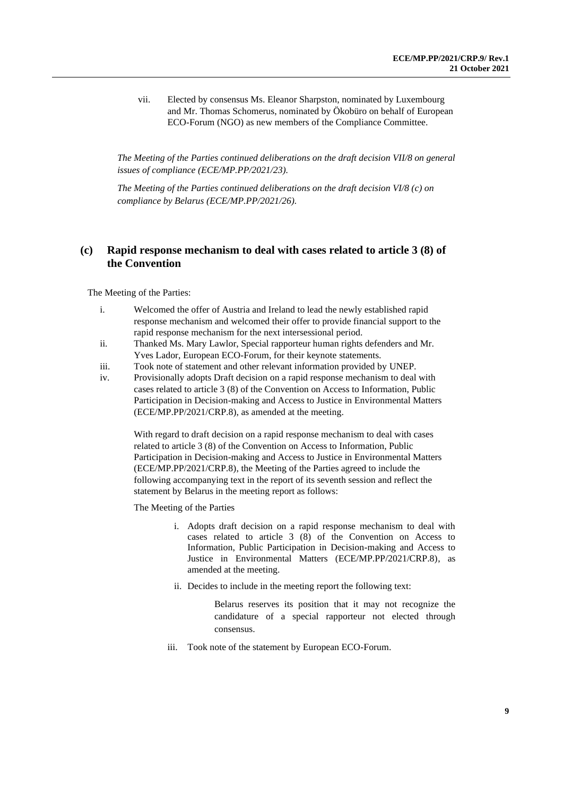vii. Elected by consensus Ms. Eleanor Sharpston, nominated by Luxembourg and Mr. Thomas Schomerus, nominated by Ökobüro on behalf of European ECO-Forum (NGO) as new members of the Compliance Committee.

*The Meeting of the Parties continued deliberations on the draft decision VII/8 on general issues of compliance (ECE/MP.PP/2021/23).*

*The Meeting of the Parties continued deliberations on the draft decision VI/8 (c) on compliance by Belarus (ECE/MP.PP/2021/26).*

### **(c) Rapid response mechanism to deal with cases related to article 3 (8) of the Convention**

The Meeting of the Parties:

- i. Welcomed the offer of Austria and Ireland to lead the newly established rapid response mechanism and welcomed their offer to provide financial support to the rapid response mechanism for the next intersessional period.
- ii. Thanked Ms. Mary Lawlor, Special rapporteur human rights defenders and Mr. Yves Lador, European ECO-Forum, for their keynote statements.
- iii. Took note of statement and other relevant information provided by UNEP.
- iv. Provisionally adopts Draft decision on a rapid response mechanism to deal with cases related to article 3 (8) of the Convention on Access to Information, Public Participation in Decision-making and Access to Justice in Environmental Matters (ECE/MP.PP/2021/CRP.8), as amended at the meeting.

With regard to draft decision on a rapid response mechanism to deal with cases related to article 3 (8) of the Convention on Access to Information, Public Participation in Decision-making and Access to Justice in Environmental Matters (ECE/MP.PP/2021/CRP.8), the Meeting of the Parties agreed to include the following accompanying text in the report of its seventh session and reflect the statement by Belarus in the meeting report as follows:

The Meeting of the Parties

- i. Adopts draft decision on a rapid response mechanism to deal with cases related to article 3 (8) of the Convention on Access to Information, Public Participation in Decision-making and Access to Justice in Environmental Matters (ECE/MP.PP/2021/CRP.8), as amended at the meeting.
- ii. Decides to include in the meeting report the following text:

Belarus reserves its position that it may not recognize the candidature of a special rapporteur not elected through consensus.

iii. Took note of the statement by European ECO-Forum.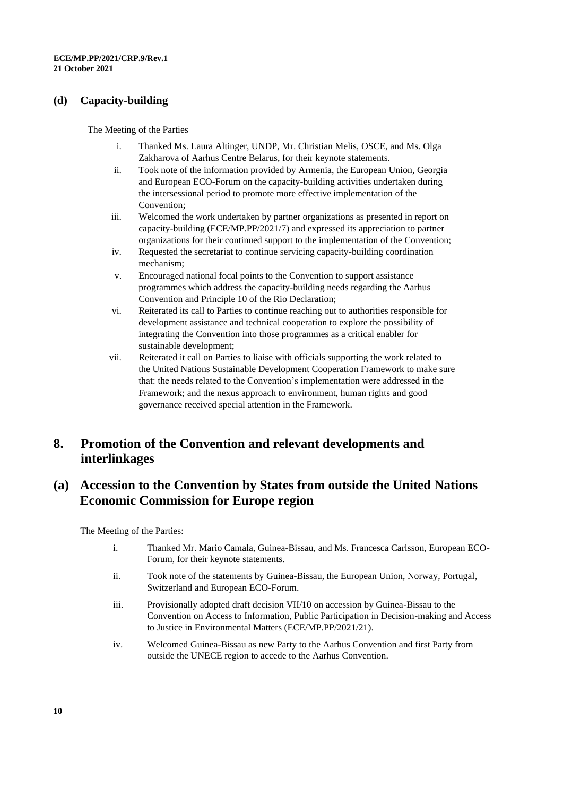#### **(d) Capacity-building**

The Meeting of the Parties

- i. Thanked Ms. Laura Altinger, UNDP, Mr. Christian Melis, OSCE, and Ms. Olga Zakharova of Aarhus Centre Belarus, for their keynote statements.
- ii. Took note of the information provided by Armenia, the European Union, Georgia and European ECO-Forum on the capacity-building activities undertaken during the intersessional period to promote more effective implementation of the Convention;
- iii. Welcomed the work undertaken by partner organizations as presented in report on capacity-building (ECE/MP.PP/2021/7) and expressed its appreciation to partner organizations for their continued support to the implementation of the Convention;
- iv. Requested the secretariat to continue servicing capacity-building coordination mechanism;
- v. Encouraged national focal points to the Convention to support assistance programmes which address the capacity-building needs regarding the Aarhus Convention and Principle 10 of the Rio Declaration;
- vi. Reiterated its call to Parties to continue reaching out to authorities responsible for development assistance and technical cooperation to explore the possibility of integrating the Convention into those programmes as a critical enabler for sustainable development;
- vii. Reiterated it call on Parties to liaise with officials supporting the work related to the United Nations Sustainable Development Cooperation Framework to make sure that: the needs related to the Convention's implementation were addressed in the Framework; and the nexus approach to environment, human rights and good governance received special attention in the Framework.

# **8. Promotion of the Convention and relevant developments and interlinkages**

### **(a) Accession to the Convention by States from outside the United Nations Economic Commission for Europe region**

- i. Thanked Mr. Mario Camala, Guinea-Bissau, and Ms. Francesca Carlsson, European ECO-Forum, for their keynote statements.
- ii. Took note of the statements by Guinea-Bissau, the European Union, Norway, Portugal, Switzerland and European ECO-Forum.
- iii. Provisionally adopted draft decision VII/10 on accession by Guinea-Bissau to the Convention on Access to Information, Public Participation in Decision-making and Access to Justice in Environmental Matters (ECE/MP.PP/2021/21).
- iv. Welcomed Guinea-Bissau as new Party to the Aarhus Convention and first Party from outside the UNECE region to accede to the Aarhus Convention.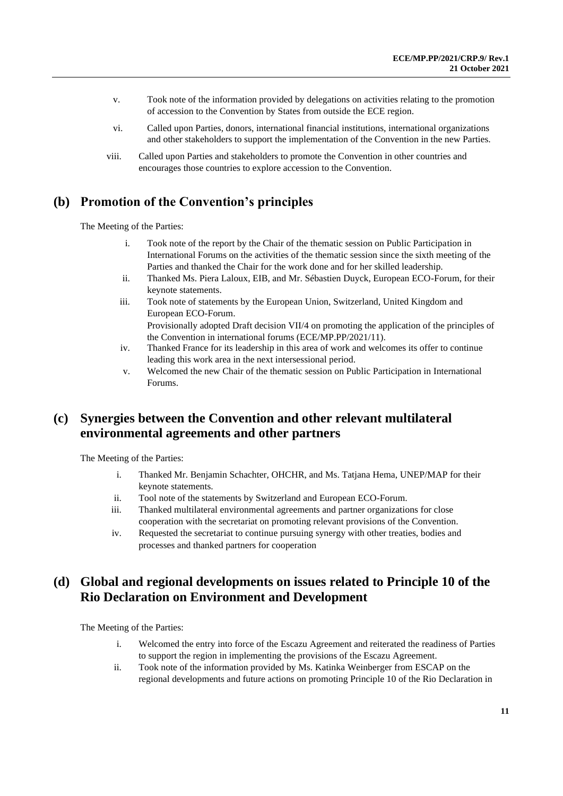- v. Took note of the information provided by delegations on activities relating to the promotion of accession to the Convention by States from outside the ECE region.
- vi. Called upon Parties, donors, international financial institutions, international organizations and other stakeholders to support the implementation of the Convention in the new Parties.
- viii. Called upon Parties and stakeholders to promote the Convention in other countries and encourages those countries to explore accession to the Convention.

### **(b) Promotion of the Convention's principles**

The Meeting of the Parties:

- i. Took note of the report by the Chair of the thematic session on Public Participation in International Forums on the activities of the thematic session since the sixth meeting of the Parties and thanked the Chair for the work done and for her skilled leadership.
- ii. Thanked Ms. Piera Laloux, EIB, and Mr. Sébastien Duyck, European ECO-Forum, for their keynote statements.
- iii. Took note of statements by the European Union, Switzerland, United Kingdom and European ECO-Forum. Provisionally adopted Draft decision VII/4 on promoting the application of the principles of the Convention in international forums (ECE/MP.PP/2021/11).
- iv. Thanked France for its leadership in this area of work and welcomes its offer to continue leading this work area in the next intersessional period.
- v. Welcomed the new Chair of the thematic session on Public Participation in International Forums.

# **(c) Synergies between the Convention and other relevant multilateral environmental agreements and other partners**

The Meeting of the Parties:

- i. Thanked Mr. Benjamin Schachter, OHCHR, and Ms. Tatjana Hema, UNEP/MAP for their keynote statements.
- ii. Tool note of the statements by Switzerland and European ECO-Forum.
- iii. Thanked multilateral environmental agreements and partner organizations for close cooperation with the secretariat on promoting relevant provisions of the Convention.
- iv. Requested the secretariat to continue pursuing synergy with other treaties, bodies and processes and thanked partners for cooperation

# **(d) Global and regional developments on issues related to Principle 10 of the Rio Declaration on Environment and Development**

- i. Welcomed the entry into force of the Escazu Agreement and reiterated the readiness of Parties to support the region in implementing the provisions of the Escazu Agreement.
- ii. Took note of the information provided by Ms. Katinka Weinberger from ESCAP on the regional developments and future actions on promoting Principle 10 of the Rio Declaration in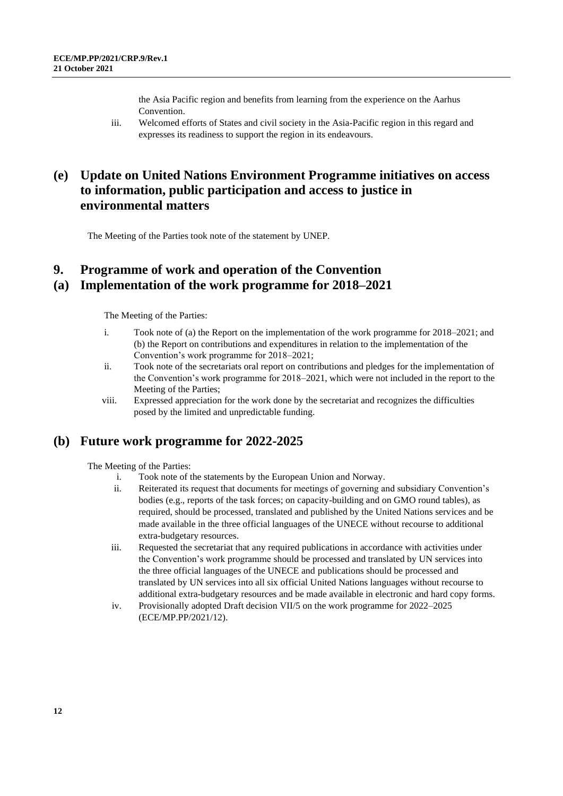the Asia Pacific region and benefits from learning from the experience on the Aarhus Convention.

iii. Welcomed efforts of States and civil society in the Asia-Pacific region in this regard and expresses its readiness to support the region in its endeavours.

# **(e) Update on United Nations Environment Programme initiatives on access to information, public participation and access to justice in environmental matters**

The Meeting of the Parties took note of the statement by UNEP.

## **9. Programme of work and operation of the Convention (a) Implementation of the work programme for 2018–2021**

The Meeting of the Parties:

- i. Took note of (a) the Report on the implementation of the work programme for 2018–2021; and (b) the Report on contributions and expenditures in relation to the implementation of the Convention's work programme for 2018–2021;
- ii. Took note of the secretariats oral report on contributions and pledges for the implementation of the Convention's work programme for 2018–2021, which were not included in the report to the Meeting of the Parties;
- viii. Expressed appreciation for the work done by the secretariat and recognizes the difficulties posed by the limited and unpredictable funding.

### **(b) Future work programme for 2022-2025**

- i. Took note of the statements by the European Union and Norway.
- ii. Reiterated its request that documents for meetings of governing and subsidiary Convention's bodies (e.g., reports of the task forces; on capacity-building and on GMO round tables), as required, should be processed, translated and published by the United Nations services and be made available in the three official languages of the UNECE without recourse to additional extra-budgetary resources.
- iii. Requested the secretariat that any required publications in accordance with activities under the Convention's work programme should be processed and translated by UN services into the three official languages of the UNECE and publications should be processed and translated by UN services into all six official United Nations languages without recourse to additional extra-budgetary resources and be made available in electronic and hard copy forms.
- iv. Provisionally adopted Draft decision VII/5 on the work programme for 2022–2025 (ECE/MP.PP/2021/12).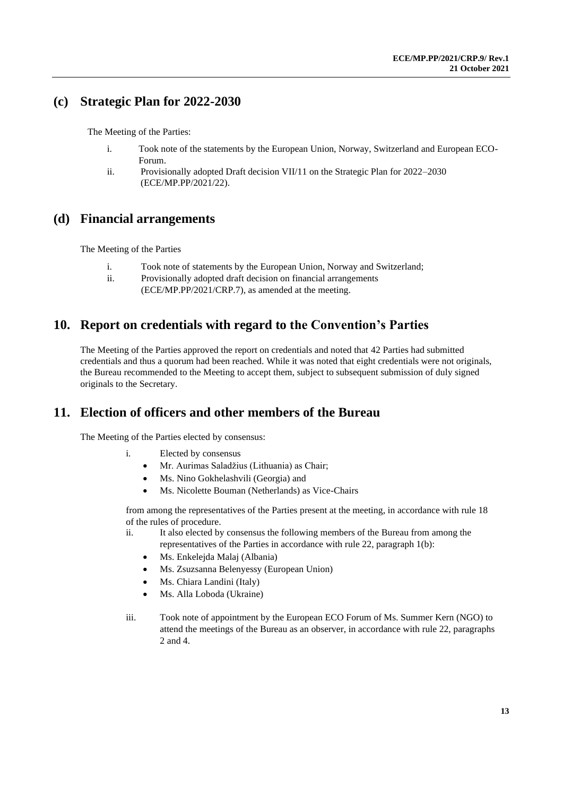# **(c) Strategic Plan for 2022-2030**

The Meeting of the Parties:

- i. Took note of the statements by the European Union, Norway, Switzerland and European ECO-Forum.
- ii. Provisionally adopted Draft decision VII/11 on the Strategic Plan for 2022–2030 (ECE/MP.PP/2021/22).

### **(d) Financial arrangements**

The Meeting of the Parties

- i. Took note of statements by the European Union, Norway and Switzerland;
- ii. Provisionally adopted draft decision on financial arrangements
	- (ECE/MP.PP/2021/CRP.7), as amended at the meeting.

# **10. Report on credentials with regard to the Convention's Parties**

The Meeting of the Parties approved the report on credentials and noted that 42 Parties had submitted credentials and thus a quorum had been reached. While it was noted that eight credentials were not originals, the Bureau recommended to the Meeting to accept them, subject to subsequent submission of duly signed originals to the Secretary.

### **11. Election of officers and other members of the Bureau**

The Meeting of the Parties elected by consensus:

- i. Elected by consensus
	- Mr. Aurimas Saladžius (Lithuania) as Chair;
	- Ms. Nino Gokhelashvili (Georgia) and
	- Ms. Nicolette Bouman (Netherlands) as Vice-Chairs

from among the representatives of the Parties present at the meeting, in accordance with rule 18 of the rules of procedure.

- ii. It also elected by consensus the following members of the Bureau from among the representatives of the Parties in accordance with rule 22, paragraph 1(b):
	- Ms. Enkelejda Malaj (Albania)
	- Ms. Zsuzsanna Belenyessy (European Union)
	- Ms. Chiara Landini (Italy)
	- Ms. Alla Loboda (Ukraine)
- iii. Took note of appointment by the European ECO Forum of Ms. Summer Kern (NGO) to attend the meetings of the Bureau as an observer, in accordance with rule 22, paragraphs 2 and 4.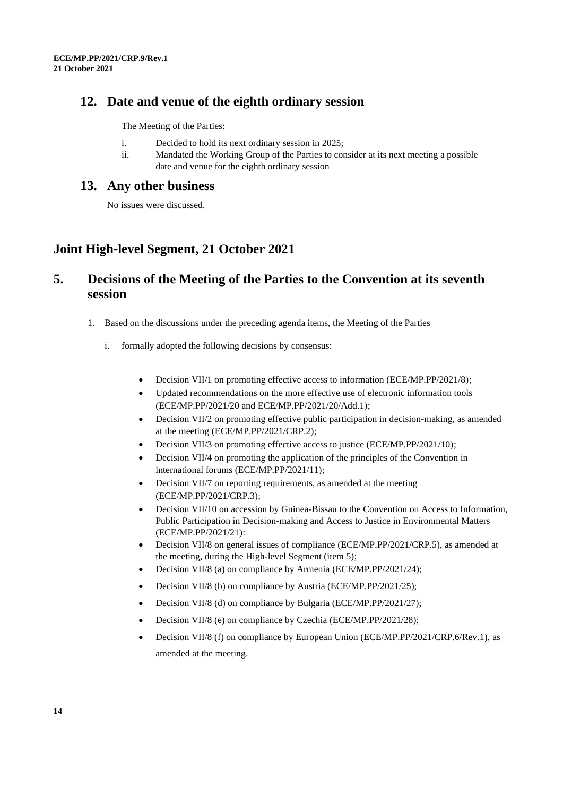### **12. Date and venue of the eighth ordinary session**

The Meeting of the Parties:

- i. Decided to hold its next ordinary session in 2025;
- ii. Mandated the Working Group of the Parties to consider at its next meeting a possible date and venue for the eighth ordinary session

### **13. Any other business**

No issues were discussed.

# **Joint High-level Segment, 21 October 2021**

# **5. Decisions of the Meeting of the Parties to the Convention at its seventh session**

- 1. Based on the discussions under the preceding agenda items, the Meeting of the Parties
	- i. formally adopted the following decisions by consensus:
		- Decision VII/1 on promoting effective access to information (ECE/MP.PP/2021/8);
		- Updated recommendations on the more effective use of electronic information tools (ECE/MP.PP/2021/20 and ECE/MP.PP/2021/20/Add.1);
		- Decision VII/2 on promoting effective public participation in decision-making, as amended at the meeting (ECE/MP.PP/2021/CRP.2);
		- Decision VII/3 on promoting effective access to justice (ECE/MP.PP/2021/10);
		- Decision VII/4 on promoting the application of the principles of the Convention in international forums (ECE/MP.PP/2021/11);
		- Decision VII/7 on reporting requirements, as amended at the meeting (ECE/MP.PP/2021/CRP.3);
		- Decision VII/10 on accession by Guinea-Bissau to the Convention on Access to Information, Public Participation in Decision-making and Access to Justice in Environmental Matters (ECE/MP.PP/2021/21):
		- Decision VII/8 on general issues of compliance (ECE/MP.PP/2021/CRP.5), as amended at the meeting, during the High-level Segment (item 5);
		- Decision VII/8 (a) on compliance by Armenia (ECE/MP.PP/2021/24);
		- Decision VII/8 (b) on compliance by Austria (ECE/MP.PP/2021/25);
		- Decision VII/8 (d) on compliance by Bulgaria (ECE/MP.PP/2021/27);
		- Decision VII/8 (e) on compliance by Czechia (ECE/MP.PP/2021/28);
		- Decision VII/8 (f) on compliance by European Union (ECE/MP.PP/2021/CRP.6/Rev.1), as amended at the meeting.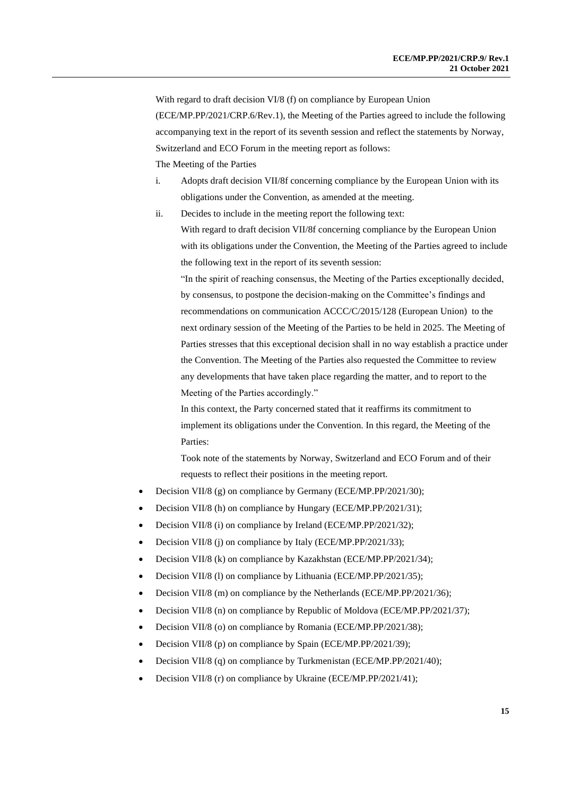With regard to draft decision VI/8 (f) on compliance by European Union (ECE/MP.PP/2021/CRP.6/Rev.1), the Meeting of the Parties agreed to include the following accompanying text in the report of its seventh session and reflect the statements by Norway, Switzerland and ECO Forum in the meeting report as follows:

The Meeting of the Parties

- i. Adopts draft decision VII/8f concerning compliance by the European Union with its obligations under the Convention, as amended at the meeting.
- ii. Decides to include in the meeting report the following text:

With regard to draft decision VII/8f concerning compliance by the European Union with its obligations under the Convention, the Meeting of the Parties agreed to include the following text in the report of its seventh session:

"In the spirit of reaching consensus, the Meeting of the Parties exceptionally decided, by consensus, to postpone the decision-making on the Committee's findings and recommendations on communication ACCC/C/2015/128 (European Union) to the next ordinary session of the Meeting of the Parties to be held in 2025. The Meeting of Parties stresses that this exceptional decision shall in no way establish a practice under the Convention. The Meeting of the Parties also requested the Committee to review any developments that have taken place regarding the matter, and to report to the Meeting of the Parties accordingly."

In this context, the Party concerned stated that it reaffirms its commitment to implement its obligations under the Convention. In this regard, the Meeting of the Parties:

Took note of the statements by Norway, Switzerland and ECO Forum and of their requests to reflect their positions in the meeting report.

- Decision VII/8 (g) on compliance by Germany (ECE/MP.PP/2021/30);
- Decision VII/8 (h) on compliance by Hungary (ECE/MP.PP/2021/31);
- Decision VII/8 (i) on compliance by Ireland (ECE/MP.PP/2021/32);
- Decision VII/8 (j) on compliance by Italy (ECE/MP.PP/2021/33);
- Decision VII/8 (k) on compliance by Kazakhstan (ECE/MP.PP/2021/34);
- Decision VII/8 (l) on compliance by Lithuania (ECE/MP.PP/2021/35);
- Decision VII/8 (m) on compliance by the Netherlands (ECE/MP.PP/2021/36);
- Decision VII/8 (n) on compliance by Republic of Moldova (ECE/MP.PP/2021/37);
- Decision VII/8 (o) on compliance by Romania (ECE/MP.PP/2021/38);
- Decision VII/8 (p) on compliance by Spain (ECE/MP.PP/2021/39);
- Decision VII/8 (q) on compliance by Turkmenistan (ECE/MP.PP/2021/40);
- Decision VII/8 (r) on compliance by Ukraine (ECE/MP.PP/2021/41);